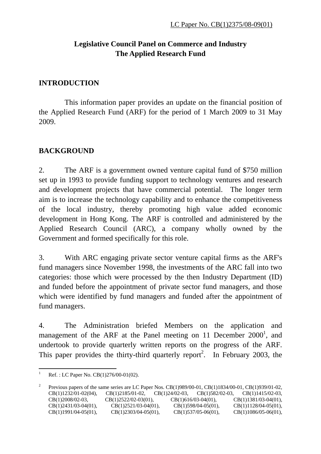# **Legislative Council Panel on Commerce and Industry The Applied Research Fund**

### **INTRODUCTION**

 This information paper provides an update on the financial position of the Applied Research Fund (ARF) for the period of 1 March 2009 to 31 May 2009.

## **BACKGROUND**

2. The ARF is a government owned venture capital fund of \$750 million set up in 1993 to provide funding support to technology ventures and research and development projects that have commercial potential. The longer term aim is to increase the technology capability and to enhance the competitiveness of the local industry, thereby promoting high value added economic development in Hong Kong. The ARF is controlled and administered by the Applied Research Council (ARC), a company wholly owned by the Government and formed specifically for this role.

3. With ARC engaging private sector venture capital firms as the ARF's fund managers since November 1998, the investments of the ARC fall into two categories: those which were processed by the then Industry Department (ID) and funded before the appointment of private sector fund managers, and those which were identified by fund managers and funded after the appointment of fund managers.

4. The Administration briefed Members on the application and management of the ARF at the Panel meeting on 11 December  $2000<sup>1</sup>$ , and undertook to provide quarterly written reports on the progress of the ARF. This paper provides the thirty-third quarterly report<sup>2</sup>. In February 2003, the

 $\frac{1}{1}$ Ref. : LC Paper No. CB(1)276/00-01(02).

<sup>2</sup> Previous papers of the same series are LC Paper Nos. CB(1)989/00-01, CB(1)1834/00-01, CB(1)939/01-02, CB(1)1232/01-02(04), CB(1)2185/01-02, CB(1)24/02-03, CB(1)582/02-03, CB(1)1415/02-03, CB(1)2008/02-03, CB(1)2522/02-03(01), CB(1)616/03-04(01), CB(1)1381/03-04(01), CB(1)2431/03-04(01), CB(1)2521/03-04(01), CB(1)598/04-05(01), CB(1)1128/04-05(01), CB(1)1991/04-05(01), CB(1)2303/04-05(01), CB(1)537/05-06(01), CB(1)1086/05-06(01),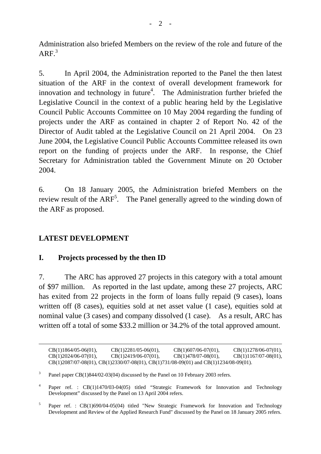Administration also briefed Members on the review of the role and future of the  $ARF<sup>3</sup>$ 

5. In April 2004, the Administration reported to the Panel the then latest situation of the ARF in the context of overall development framework for innovation and technology in future<sup>4</sup>. The Administration further briefed the Legislative Council in the context of a public hearing held by the Legislative Council Public Accounts Committee on 10 May 2004 regarding the funding of projects under the ARF as contained in chapter 2 of Report No. 42 of the Director of Audit tabled at the Legislative Council on 21 April 2004. On 23 June 2004, the Legislative Council Public Accounts Committee released its own report on the funding of projects under the ARF. In response, the Chief Secretary for Administration tabled the Government Minute on 20 October 2004.

6. On 18 January 2005, the Administration briefed Members on the review result of the  $ARF^5$ . The Panel generally agreed to the winding down of the ARF as proposed.

## **LATEST DEVELOPMENT**

#### **I. Projects processed by the then ID**

7. The ARC has approved 27 projects in this category with a total amount of \$97 million. As reported in the last update, among these 27 projects, ARC has exited from 22 projects in the form of loans fully repaid (9 cases), loans written off (8 cases), equities sold at net asset value (1 case), equities sold at nominal value (3 cases) and company dissolved (1 case). As a result, ARC has written off a total of some \$33.2 million or 34.2% of the total approved amount.

| $CB(1)1864/05-06(01)$ , | $CB(1)2281/05-06(01)$ ,                                                                          | $CB(1)607/06-07(01)$ , | $CB(1)1278/06-07(01)$ , |
|-------------------------|--------------------------------------------------------------------------------------------------|------------------------|-------------------------|
| $CB(1)2024/06-07(01)$ , | $CB(1)2419/06-07(01)$ ,                                                                          | $CB(1)478/07-08(01)$ , | $CB(1)1167/07-08(01)$ , |
|                         | $CB(1)2087/07-08(01)$ , $CB(1)2330/07-08(01)$ , $CB(1)731/08-09(01)$ and $CB(1)1234/08-09(01)$ . |                        |                         |

<sup>3</sup> Panel paper CB(1)844/02-03(04) discussed by the Panel on 10 February 2003 refers.

4 Paper ref. : CB(1)1470/03-04(05) titled "Strategic Framework for Innovation and Technology Development" discussed by the Panel on 13 April 2004 refers.

<sup>5</sup> Paper ref. : CB(1)690/04-05(04) titled "New Strategic Framework for Innovation and Technology Development and Review of the Applied Research Fund" discussed by the Panel on 18 January 2005 refers.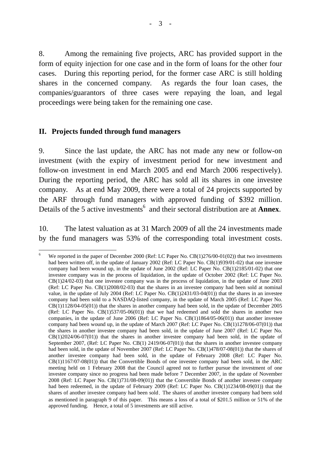8. Among the remaining five projects, ARC has provided support in the form of equity injection for one case and in the form of loans for the other four cases. During this reporting period, for the former case ARC is still holding shares in the concerned company. As regards the four loan cases, the companies/guarantors of three cases were repaying the loan, and legal proceedings were being taken for the remaining one case.

#### **II. Projects funded through fund managers**

9. Since the last update, the ARC has not made any new or follow-on investment (with the expiry of investment period for new investment and follow-on investment in end March 2005 and end March 2006 respectively). During the reporting period, the ARC has sold all its shares in one investee company. As at end May 2009, there were a total of 24 projects supported by the ARF through fund managers with approved funding of \$392 million. Details of the 5 active investments<sup>6</sup> and their sectoral distribution are at **Annex**.

10. The latest valuation as at 31 March 2009 of all the 24 investments made by the fund managers was 53% of the corresponding total investment costs.

<sup>&</sup>lt;u>.</u> 6 We reported in the paper of December 2000 (Ref: LC Paper No. CB(1)276/00-01(02)) that two investments had been written off, in the update of January 2002 (Ref: LC Paper No. CB(1)939/01-02) that one investee company had been wound up, in the update of June 2002 (Ref: LC Paper No. CB(1)2185/01-02) that one investee company was in the process of liquidation, in the update of October 2002 (Ref: LC Paper No. CB(1)24/02-03) that one investee company was in the process of liquidation, in the update of June 2003 (Ref: LC Paper No. CB(1)2008/02-03) that the shares in an investee company had been sold at nominal value, in the update of July 2004 (Ref: LC Paper No. CB(1)2431/03-04(01)) that the shares in an investee company had been sold to a NASDAQ-listed company, in the update of March 2005 (Ref: LC Paper No. CB(1)1128/04-05(01)) that the shares in another company had been sold, in the update of December 2005 (Ref: LC Paper No. CB(1)537/05-06(01)) that we had redeemed and sold the shares in another two companies, in the update of June 2006 (Ref: LC Paper No. CB(1)1864/05-06(01)) that another investee company had been wound up*,* in the update of March 2007 (Ref: LC Paper No. CB(1)1278/06-07(01)) that the shares in another investee company had been sold*,* in the update of June 2007 (Ref: LC Paper No. CB(1)2024/06-07(01)) that the shares in another investee company had been sold, in the update of September 2007, (Ref: LC Paper No. CB(1) 2419/06-07(01)) that the shares in another investee company had been sold, in the update of November 2007 (Ref: LC Paper No. CB(1)478/07-08(01)) that the shares of another investee company had been sold, in the update of February 2008 (Ref: LC Paper No. CB(1)1167/07-08(01)) that the Convertible Bonds of one investee company had been sold, in the ARC meeting held on 1 February 2008 that the Council agreed not to further pursue the investment of one investee company since no progress had been made before 7 December 2007*,* in the update of November 2008 (Ref: LC Paper No. CB(1)731/08-09(01)) that the Convertible Bonds of another investee company had been redeemed, in the update of February 2009 (Ref: LC Paper No. CB(1)1234/08-09(01)) that the shares of another investee company had been sold. The shares of another investee company had been sold as mentioned in paragraph 9 of this paper. This means a loss of a total of \$201.5 million or 51% of the approved funding. Hence, a total of 5 investments are still active.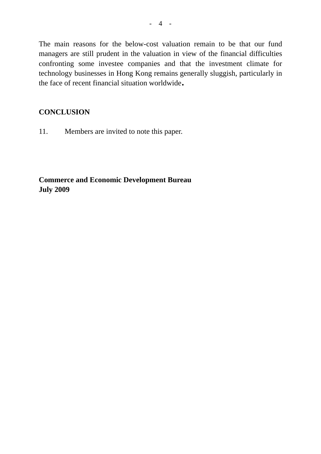The main reasons for the below-cost valuation remain to be that our fund managers are still prudent in the valuation in view of the financial difficulties confronting some investee companies and that the investment climate for technology businesses in Hong Kong remains generally sluggish, particularly in the face of recent financial situation worldwide.

### **CONCLUSION**

11. Members are invited to note this paper.

**Commerce and Economic Development Bureau July 2009**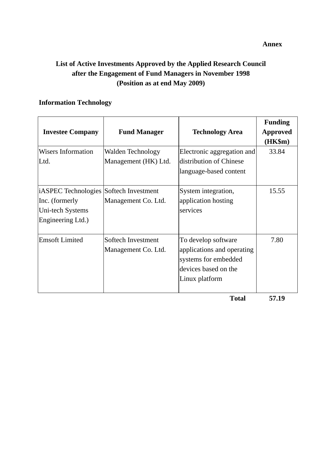# **List of Active Investments Approved by the Applied Research Council after the Engagement of Fund Managers in November 1998 (Position as at end May 2009)**

#### **Information Technology**

| <b>Investee Company</b>                                                                           | <b>Fund Manager</b>                       | <b>Technology Area</b>                                                                                              | <b>Funding</b><br><b>Approved</b><br>(HK\$m) |
|---------------------------------------------------------------------------------------------------|-------------------------------------------|---------------------------------------------------------------------------------------------------------------------|----------------------------------------------|
| <b>Wisers Information</b><br>Ltd.                                                                 | Walden Technology<br>Management (HK) Ltd. | Electronic aggregation and<br>distribution of Chinese<br>language-based content                                     | 33.84                                        |
| iASPEC Technologies Softech Investment<br>Inc. (formerly<br>Uni-tech Systems<br>Engineering Ltd.) | Management Co. Ltd.                       | System integration,<br>application hosting<br>services                                                              | 15.55                                        |
| <b>Emsoft Limited</b>                                                                             | Softech Investment<br>Management Co. Ltd. | To develop software<br>applications and operating<br>systems for embedded<br>devices based on the<br>Linux platform | 7.80                                         |
|                                                                                                   |                                           | <b>Total</b>                                                                                                        | 57.19                                        |

**Annex**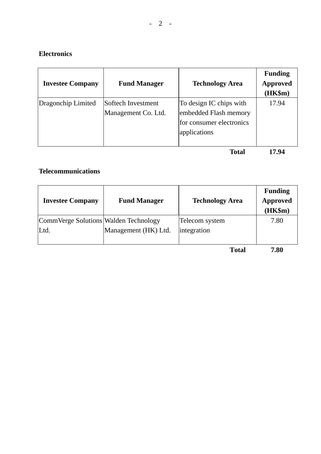#### **Electronics**

| <b>Investee Company</b> | <b>Fund Manager</b>                       | <b>Technology Area</b>                                                                       | <b>Funding</b><br><b>Approved</b><br>$(HK\$ m $)$ |
|-------------------------|-------------------------------------------|----------------------------------------------------------------------------------------------|---------------------------------------------------|
| Dragonchip Limited      | Softech Investment<br>Management Co. Ltd. | To design IC chips with<br>embedded Flash memory<br>for consumer electronics<br>applications | 17.94                                             |
|                         |                                           | Total                                                                                        | 17.94                                             |

**Telecommunications** 

| <b>Investee Company</b>                       | <b>Fund Manager</b>  | <b>Technology Area</b>        | <b>Funding</b><br><b>Approved</b><br>(HK\$m) |
|-----------------------------------------------|----------------------|-------------------------------|----------------------------------------------|
| CommVerge Solutions Walden Technology<br>Ltd. | Management (HK) Ltd. | Telecom system<br>integration | 7.80                                         |

 **Total 7.80**